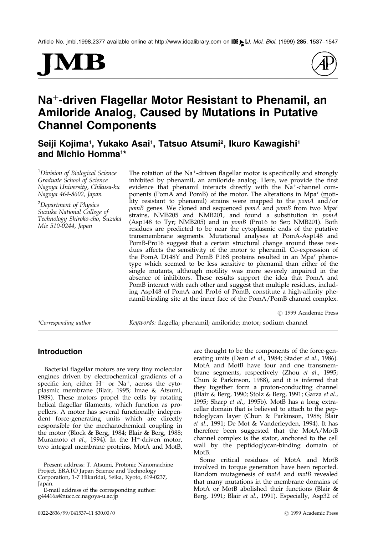

# $Na<sup>+</sup>$ -driven Flagellar Motor Resistant to Phenamil, an Amiloride Analog, Caused by Mutations in Putative Channel Components

Seiji Kojima<sup>ı</sup>, Yukako Asai<sup>ı</sup>, Tatsuo Atsumi<sup>2</sup>, Ikuro Kawagishi<sup>ı</sup> and Michio Homma<sup>1\*</sup>

<sup>1</sup>Division of Biological Science Graduate School of Science Nagoya University, Chikusa-ku Nagoya 464-8602, Japan

<sup>2</sup>Department of Physics Suzuka National College of Technology Shiroko-cho, Suzuka Mie 510-0244, Japan

The rotation of the  $Na^+$ -driven flagellar motor is specifically and strongly inhibited by phenamil, an amiloride analog. Here, we provide the first evidence that phenamil interacts directly with the Na<sup>+</sup>-channel components (PomA and PomB) of the motor. The alterations in Mpa<sup>r</sup> (motility resistant to phenamil) strains were mapped to the  $\text{pom}A$  and/or  $pomB$  genes. We cloned and sequenced  $pomA$  and  $pomB$  from two Mpa<sup>r</sup> strains, NMB205 and NMB201, and found a substitution in pomA (Asp148 to Tyr; NMB205) and in pomB (Pro16 to Ser; NMB201). Both residues are predicted to be near the cytoplasmic ends of the putative transmembrane segments. Mutational analyses at PomA-Asp148 and PomB-Pro16 suggest that a certain structural change around these residues affects the sensitivity of the motor to phenamil. Co-expression of the PomA D148Y and PomB P16S proteins resulted in an Mpa<sup>r</sup> phenotype which seemed to be less sensitive to phenamil than either of the single mutants, although motility was more severely impaired in the absence of inhibitors. These results support the idea that PomA and PomB interact with each other and suggest that multiple residues, including Asp148 of PomA and Pro16 of PomB, constitute a high-affinity phenamil-binding site at the inner face of the PomA/PomB channel complex.

# 1999 Academic Press

\*Corresponding author **Keywords: flagella; phenamil; amiloride**; motor; sodium channel

# Introduction

Bacterial flagellar motors are very tiny molecular engines driven by electrochemical gradients of a specific ion, either  $\rm H^+$  or  $\rm Na^+$ , across the cytoplasmic membrane [\(Blair, 19](#page-9-0)95; [Imae &](#page-9-0) Atsumi, 1989). These motors propel the cells by rotating helical flagellar filaments, which function as propellers. A motor has several functionally independent force-generating units which are directly responsible for the mechanochemical coupling in the motor [\(Block &](#page-9-0) Berg, 1984; [Blair & B](#page-9-0)erg, 1988; [Muramo](#page-10-0)to *et al.*, 1994). In the  $H^+$ -driven motor, two integral membrane proteins, MotA and MotB,

are thought to be the components of the force-gen-erating units [\(Dean](#page-9-0) et al., 1984; [Stader](#page-10-0) et al., 1986). MotA and MotB have four and one transmembrane segments, respectively [\(Zhou](#page-10-0) et al., 1995; [Chun &](#page-9-0) Parkinson, 1988), and it is inferred that they together form a proton-conducting channel [\(Blair & B](#page-9-0)erg, 1990; [Stolz & B](#page-10-0)erg, 1991[; Garza](#page-9-0) et al., 1995; [Sharp](#page-10-0) et al., 1995b). MotB has a long extracellar domain that is believed to attach to the peptidoglycan layer [\(Chun &](#page-9-0) Parkinson, 1988; [Blair](#page-9-0) et al., 1991; [De Mot](#page-9-0) & Vanderleyden, 1994). It has therefore been suggested that the MotA/MotB channel complex is the stator, anchored to the cell wall by the peptidoglycan-binding domain of MotB.

Some critical residues of MotA and MotB involved in torque generation have been reported. Random mutagenesis of *motA* and *motB* revealed that many mutations in the membrane domains of MotA or MotB abolished their functions [\(Blair &](#page-9-0) Berg, 1991; [Blair](#page-9-0) et al., 1991). Especially, Asp32 of

Present address: T. Atsumi, Protonic Nanomachine Project, ERATO Japan Science and Technology Corporation, 1-7 Hikaridai, Seika, Kyoto, 619-0237, Japan.

E-mail address of the corresponding author: g44416a@nucc.cc.nagoya-u.ac.jp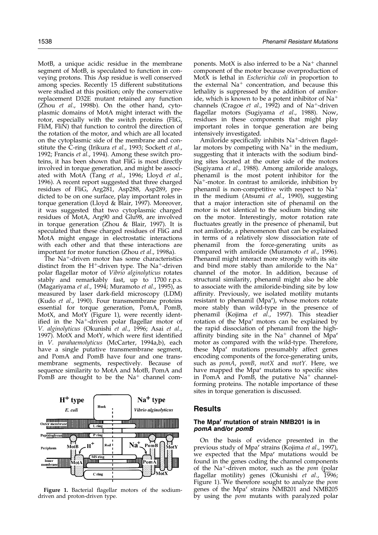MotB, a unique acidic residue in the membrane segment of MotB, is speculated to function in conveying protons. This Asp residue is well conserved among species. Recently 15 different substitutions were studied at this position; only the conservative replacement D32E mutant retained any function [\(Zhou](#page-10-0) et al., 1998b). On the other hand, cytoplasmic domains of MotA might interact with the rotor, especially with the switch proteins (FliG, FliM, FliN) that function to control the direction of the rotation of the motor, and which are all located on the cytoplasmic side of the membrane and con-stitute the C-ring [\(Irikura](#page-9-0) et al., 1993; [Sockett](#page-10-0) et al., 1992; [Francis](#page-9-0) et al., 1994). Among these switch proteins, it has been shown that FliG is most directly involved in torque generation, and might be associated with MotA [\(Tang](#page-10-0) et al., 1996; [Lloyd](#page-10-0) et al., 1996). A recent report suggested that three charged residues of FliG, Arg281, Asp288, Asp289, predicted to be on one surface, play important roles in torque generation [\(Lloyd &](#page-9-0) Blair, 1997). Moreover, it was suggested that two cytoplasmic charged ponents. MotX is also inferred to be a  $Na<sup>+</sup>$  channel component of the motor because overproduction of

residues of MotA, Arg90 and Glu98, are involved in torque generation [\(Zhou &](#page-10-0) Blair, 1997). It is speculated that these charged residues of FliG and MotA might engage in electrostatic interactions with each other and that these interactions are important for motor function [\(Zhou](#page-10-0) et al., 1998a).

The  $Na^+$ -driven motor has some characteristics distinct from the H<sup>+</sup>-driven type. The Na<sup>+</sup>-driven polar flagellar motor of Vibrio alginolyticus rotates stably and remarkably fast, up to 1700 r.p.s. [\(Magariya](#page-10-0)ma et al., 1994; [Muramo](#page-10-0)to et al., 1995), as measured by laser dark-field microscopy (LDM) [\(Kudo](#page-9-0) et al., 1990). Four transmembrane proteins essential for torque generation, PomA, PomB, MotX, and MotY (Figure 1), were recently identified in the Na<sup>+</sup>-driven polar flagellar motor of V. alginolyticus [\(Okunish](#page-10-0)i et al., 1996; [Asai](#page-8-0) et al., 1997). MotX and MotY, which were first identified in V. parahaemolyticus [\(McCarte](#page-10-0)r, 1994[a,b\), each](#page-10-0) have a single putative transmembrane segment, and PomA and PomB have four and one transmembrane segments, respectively. Because of sequence similarity to MotA and MotB, PomA and PomB are thought to be the  $Na<sup>+</sup>$  channel com-

MotX is lethal in Escherichia coli in proportion to the external  $Na<sup>+</sup>$  concentration, and because this lethality is suppressed by the addition of amiloride, which is known to be a potent inhibitor of  $Na<sup>+</sup>$ channels [\(Cragoe](#page-9-0) *et al.*, 1992) and of Na<sup>+</sup>-driven flagellar motors [\(Sugiyam](#page-10-0)a et al., 1988). Now, residues in these components that might play important roles in torque generation are being intensively investigated.

Amiloride specifically inhibits  $Na^+$ -driven flagellar motors by competing with  $Na<sup>+</sup>$  in the medium, suggesting that it interacts with the sodium binding sites located at the outer side of the motors [\(Sugiyam](#page-10-0)a et al., 1988). Among amiloride analogs, phenamil is the most potent inhibitor for the  $Na<sup>+</sup>$ -motor. In contrast to amiloride, inhibition by phenamil is non-competitive with respect to  $Na<sup>+</sup>$ in the medium [\(Atsumi](#page-9-0) *et al.*, 1990), suggesting that a major interaction site of phenamil on the motor is not identical to the sodium binding site on the motor. Interestingly, motor rotation rate fluctuates greatly in the presence of phenamil, but not amiloride, a phenomenon that can be explained in terms of a relatively slow dissociation rate of phenamil from the force-generating units as compared with amiloride [\(Muramo](#page-10-0)to et al., 1996). Phenamil might interact more strongly with its site and bind more stably than amiloride to the  $Na<sup>+</sup>$ channel of the motor. In addition, because of structural similarity, phenamil might also be able to associate with the amiloride-binding site by low affinity. Previously, we isolated motility mutants resistant to phenamil (Mpa<sup>r</sup>), whose motors rotate more stably than wild-type in the presence of phenamil [\(Kojima](#page-9-0) et al., 1997). This steadier rotation of the Mpa<sup>r</sup> motors can be explained by the rapid dissociation of phenamil from the highaffinity binding site in the  $Na<sup>+</sup>$  channel of Mpa<sup>r</sup> motor as compared with the wild-type. Therefore, these Mpa<sup>r</sup> mutations presumably affect genes encoding components of the force-generating units, such as  $pomA$ ,  $pomB$ ,  $motX$  and  $motY$ . Here, we have mapped the Mpa<sup>r</sup> mutations to specific sites in PomA and PomB, the putative  $N\overline{a}^+$  channelforming proteins. The notable importance of these sites in torque generation is discussed.

# Results

# The Mpa<sup>r</sup> mutation of strain NMB201 is in pomA and/or pomB

On the basis of evidence presented in the previous study of Mpa<sup>r</sup> strains [\(Kojima](#page-9-0) et al., 1997), we expected that the Mpa<sup>r</sup> mutations would be found in the genes coding the channel components of the Na<sup>+</sup>-driven motor, such as the *pom* (polar flagellar motility) genes [\(Okunish](#page-10-0)i et al., 1996; Figure 1). We therefore sought to analyze the pom genes of the Mpa<sup>r</sup> strains NMB201 and NMB205 by using the pom mutants with paralyzed polar



Figure 1. Bacterial flagellar motors of the sodiumdriven and proton-driven type.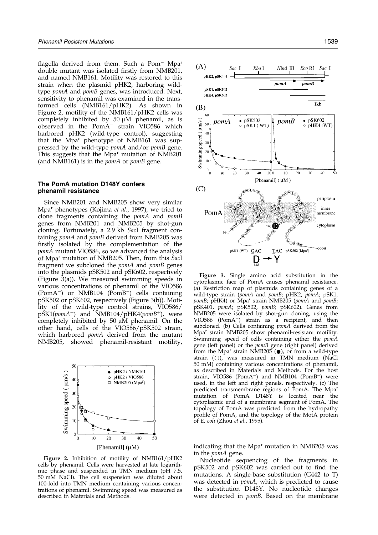<span id="page-2-0"></span>flagella derived from them. Such a Pom<sup>-</sup> Mpa<sup>r</sup> double mutant was isolated firstly from NMB201, and named NMB161. Motility was restored to this strain when the plasmid pHK2, harboring wildtype pomA and pomB genes, was introduced. Next, sensitivity to phenamil was examined in the transformed cells (NMB161/pHK2). As shown in Figure 2, motility of the NMB161/pHK2 cells was completely inhibited by 50 µM phenamil, as is  $observed$  in the  $PomA^-$  strain VIO586 which harbored pHK2 (wild-type control), suggesting that the Mpa<sup>r</sup> phenotype of NMB161 was suppressed by the wild-type pomA and/or pomB gene. This suggests that the Mpa<sup>r</sup> mutation of NMB201 (and NMB161) is in the *pomA* or *pomB* gene.

#### The PomA mutation D148Y confers phenamil resistance

Since NMB201 and NMB205 show very similar Mpa<sup>r</sup> phenotypes [\(Kojima](#page-9-0) et al., 1997), we tried to clone fragments containing the pomA and pomB genes from NMB201 and NMB205 by shot-gun cloning. Fortunately, a 2.9 kb SacI fragment containing pomA and pomB derived from NMB205 was firstly isolated by the complementation of the pomA mutant VIO586, so we advanced the analysis of Mpa<sup>r</sup> mutation of NMB205. Then, from this SacI fragment we subcloned the pomA and pomB genes into the plasmids pSK502 and pSK602, respectively (Figure 3(a)). We measured swimming speeds in various concentrations of phenamil of the VIO586  $(PomA<sup>-</sup>)$  or NMB104 ( $PomB<sup>-</sup>$ ) cells containing pSK502 or pSK602, respectively (Figure 3(b)). Motility of the wild-type control strains, VIO586/  $pSK1(pomA^{+})$  and NMB104/pHK4( $pomB^{+}$ ), were completely inhibited by  $50 \mu M$  phenamil. On the other hand, cells of the VIO586/pSK502 strain, which harbored *pomA* derived from the mutant NMB205, showed phenamil-resistant motility,



Figure 2. Inhibition of motility of NMB161/pHK2 cells by phenamil. Cells were harvested at late logarithmic phase and suspended in TMN medium (pH 7.5, 50 mM NaCl). The cell suspension was diluted about 100-fold into TMN medium containing various concentrations of phenamil. Swimming speed was measured as described in Materials and Methods.



Figure 3. Single amino acid substitution in the cytoplasmic face of PomA causes phenamil resistance. (a) Restriction map of plasmids containing genes of a wild-type strain (pomA and pomB; pHK2, pomA; pSK1, pomB; pHK4) or Mpa<sup>r</sup> strain NMB205 (pomA and pomB; pSK401, pomA; pSK502, pomB; pSK602). Genes from NMB205 were isolated by shot-gun cloning, using the VIO586 (PomA<sup>-</sup>) strain as a recipient, and then subcloned. (b) Cells containing pomA derived from the Mpa<sup>r</sup> strain NMB205 show phenamil-resistant motility. Swimming speed of cells containing either the pomA gene (left panel) or the pomB gene (right panel) derived from the  $\rm \tilde{M}$ pa<sup>r</sup> strain NMB205 ( $\bullet$ ), or from a wild-type strain ( $\bigcirc$ ), was measured in TMN medium (NaCl 50 mM) containing various concentrations of phenamil, as described in Materials and Methods. For the host strain, VIO586 (PomA<sup>-</sup>) and NMB104 (PomB<sup>-</sup>) were used, in the left and right panels, respectively. (c) The predicted transmembrane regions of PomA. The Mpa<sup>r</sup> mutation of PomA D148Y is located near the cytoplasmic end of a membrane segment of PomA. The topology of PomA was predicted from the hydropathy profile of PomA, and the topology of the MotA protein of E. coli [\(Zhou](#page-10-0) et al., 1995).

indicating that the  $Mpa<sup>r</sup>$  mutation in NMB205 was in the pomA gene.

Nucleotide sequencing of the fragments in pSK502 and pSK602 was carried out to find the mutations. A single-base substitution (G442 to T) was detected in  $pomA$ , which is predicted to cause the substitution D148Y. No nucleotide changes were detected in *pomB*. Based on the membrane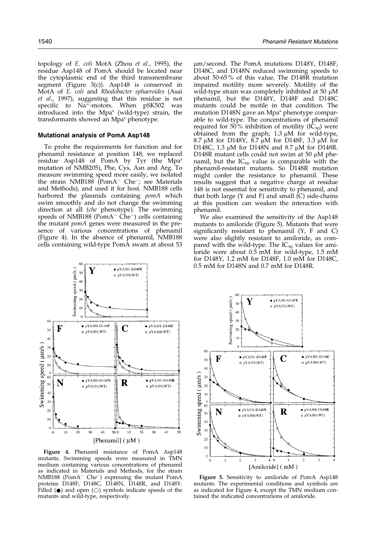topology of E. coli MotA [\(Zhou](#page-10-0) et al., 1995), the residue Asp148 of PomA should be located near the cytoplasmic end of the third transmembrane segment [\(Figure 3](#page-2-0)(c)). Asp148 is conserved in MotA of E. coli and Rhodobacter sphaeroides [\(Asai](#page-8-0) et al., 1997), suggesting that this residue is not specific to  $Na<sup>+</sup>$ -motors. When pSK502 was introduced into the Mpa<sup>s</sup> (wild-type) strain, the transformants showed an Mpa<sup>r</sup> phenotype.

#### Mutational analysis of PomA Asp148

To probe the requirements for function and for phenamil resistance at position 148, we replaced residue Asp148 of PomA by Tyr (the Mpa<sup>r</sup> mutation of NMB205), Phe, Cys, Asn and Arg. To measure swimming speed more easily, we isolated the strain NMB188 (Pom $A^-$  Che<sup>-</sup>; see Materials and Methods), and used it for host. NMB188 cells harbored the plasmids containing *pomA* which swim smoothly and do not change the swimming direction at all (che phenotype). The swimming speeds of NMB188 ( $P<sub>o</sub>mA<sup>-</sup> Ch<sub>e</sub><sup>-</sup>$ ) cells containing the mutant pomA genes were measured in the presence of various concentrations of phenamil (Figure 4). In the absence of phenamil, NMB188 cells containing wild-type PomA swam at about 53



Figure 4. Phenamil resistance of PomA Asp148 mutants. Swimming speeds were measured in TMN medium containing various concentrations of phenamil as indicated in Materials and Methods, for the strain  $NMB188$  (Pom $A^-$  Che<sup>-</sup>) expressing the mutant PomA proteins D148F, D148C, D148N, D148R, and D148Y. Filled ( $\bullet$ ) and open ( $\circ$ ) symbols indicate speeds of the mutants and wild-type, respectively.

mm/second. The PomA mutations D148Y, D148F, D148C, and D148N reduced swimming speeds to about 50-65 % of this value. The D148R mutation impaired motility more severely. Motility of the wild-type strain was completely inhibited at 50  $\mu$ M phenamil, but the D148Y, D148F and D148C mutants could be motile in that condition. The mutation D148N gave an Mpa<sup>s</sup> phenotype comparable to wild-type. The concentrations of phenamil required for 50% inhibition of motility  $(IC_{50})$  were obtained from the graph;  $1.3 \mu M$  for wild-type, 8.7  $\mu$ M for D148Y, 8.7  $\mu$ M for D148F, 3.3  $\mu$ M for D148C, 1.3  $\mu$ M for D148N and 8.7  $\mu$ M for D148R. D148R mutant cells could not swim at 50  $\mu$ M phenamil, but the  $IC_{50}$  value is comparable with the phenamil-resistant mutants. So D148R mutation might confer the resistance to phenamil. These results suggest that a negative charge at residue 148 is not essential for sensitivity to phenamil, and that both large  $(Y \text{ and } F)$  and small  $(C)$  side-chains at this position can weaken the interaction with phenamil.

We also examined the sensitivity of the Asp148 mutants to amiloride (Figure 5). Mutants that were significantly resistant to phenamil  $(Y, F \text{ and } C)$ were also slightly resistant to amiloride, as compared with the wild-type. The  $IC_{50}$  values for amiloride were about 0.5 mM for wild-type, 1.5 mM for D148Y, 1.2 mM for D148F, 1.0 mM for D148C, 0.5 mM for D148N and 0.7 mM for D148R.



Figure 5. Sensitivity to amiloride of PomA Asp148 mutants. The experimental conditions and symbols are as indicated for Figure 4, except the TMN medium contained the indicated concentrations of amiloride.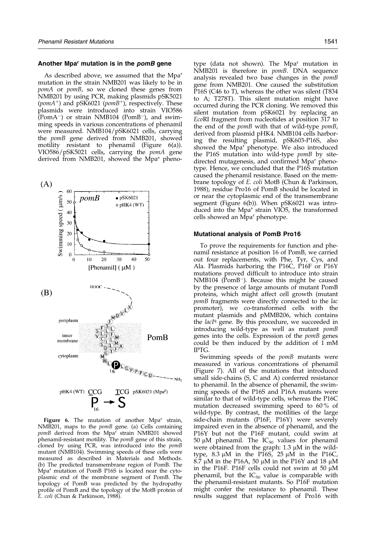#### Another Mpa<sup>r</sup> mutation is in the pomB gene

As described above, we assumed that the Mpa<sup>r</sup> mutation in the strain NMB201 was likely to be in pomA or pomB, so we cloned these genes from NMB201 by using PCR, making plasmids pSK5021 ( $pomA^{+}$ ) and  $pSK6021$  ( $pomB^{+}$ ), respectively. These plasmids were introduced into strain VIO586  $(PomA<sup>-</sup>)$  or strain NMB104 (PomB<sup>-</sup>), and swimming speeds in various concentrations of phenamil were measured. NMB104/pSK6021 cells, carrying the pomB gene derived from NMB201, showed motility resistant to phenamil (Figure 6(a)). VIO586/pSK5021 cells, carrying the pomA gene derived from NMB201, showed the Mpa<sup>s</sup> pheno-



Figure 6. The mutation of another  $Mpa<sup>r</sup>$  strain, NMB201, maps to the pomB gene. (a) Cells containing pomB derived from the Mpa<sup>r</sup> strain NMB201 showed phenamil-resistant motility. The pomB gene of this strain, cloned by using PCR, was introduced into the pomB mutant (NMB104). Swimming speeds of these cells were measured as described in Materials and Methods. (b) The predicted transmembrane region of PomB. The Mpa<sup>r</sup> mutation of PomB P16S is located near the cytoplasmic end of the membrane segment of PomB. The topology of PomB was predicted by the hydropathy profile of PomB and the topology of the MotB protein of E. coli [\(Chun & P](#page-9-0)arkinson, 1988).

type (data not shown). The Mpa<sup>r</sup> mutation in NMB201 is therefore in pomB. DNA sequence analysis revealed two base changes in the pomB gene from NMB201. One caused the substitution P16S (C46 to T), whereas the other was silent (T834 to A; T278T). This silent mutation might have occurred during the PCR cloning. We removed this silent mutation from pSK6021 by replacing an EcoRI fragment from nucleotides at position 317 to the end of the pomB with that of wild-type pomB, derived from plasmid pHK4. NMB104 cells harboring the resulting plasmid, pSK603-P16S, also showed the Mpa<sup>r</sup> phenotype. We also introduced the P16S mutation into wild-type pomB by sitedirected mutagenesis, and confirmed Mpa<sup>r</sup> phenotype. Hence, we concluded that the P16S mutation caused the phenamil resistance. Based on the membrane topology of E. coli MotB [\(Chun &](#page-9-0) Parkinson, 1988), residue Pro16 of PomB should be located in or near the cytoplasmic end of the transmembrane segment (Figure 6(b)). When pSK6021 was introduced into the Mpa<sup>s</sup> strain VIO5, the transformed cells showed an Mpa<sup>r</sup> phenotype.

#### Mutational analysis of PomB Pro16

To prove the requirements for function and phenamil resistance at position 16 of PomB, we carried out four replacements, with Phe, Tyr, Cys, and Ala. Plasmids harboring the P16C, P16F or P16Y mutations proved difficult to introduce into strain  $NMB104$  ( $\overline{P}omB^-$ ). Because this might be caused by the presence of large amounts of mutant PomB proteins, which might affect cell growth (mutant pomB fragments were directly connected to the lac promoter), we co-transformed cells with the mutant plasmids and pMMB206, which contains the *lacI*<sup>q</sup> gene. By this procedure, we succeeded in introducing wild-type as well as mutant pomB genes into the cells. Expression of the pomB genes could be then induced by the addition of 1 mM IPTG.

Swimming speeds of the pomB mutants were measured in various concentrations of phenamil [\(Figure 7](#page-5-0)). All of the mutations that introduced small side-chains (S, C and A) conferred resistance to phenamil. In the absence of phenamil, the swimming speeds of the P16S and P16A mutants were similar to that of wild-type cells, whereas the P16C mutation decreased swimming speed to 60 % of wild-type. By contrast, the motilities of the large side-chain mutants (P16F, P16Y) were severely impaired even in the absence of phenamil, and the P16Y but not the P16F mutant, could swim at 50  $\mu$ M phenamil. The IC<sub>50</sub> values for phenamil were obtained from the graph:  $1.3 \mu M$  in the wildtype, 8.3  $\mu$ M in the P16S, 25  $\mu$ M in the P16C, 8.7  $\mu$ M in the P16A, 50  $\mu$ M in the P16Y and 18  $\mu$ M in the P16F. P16F cells could not swim at 50  $\mu$ M phenamil, but the  $IC_{50}$  value is comparable with the phenamil-resistant mutants. So P16F mutation might confer the resistance to phenamil. These results suggest that replacement of Pro16 with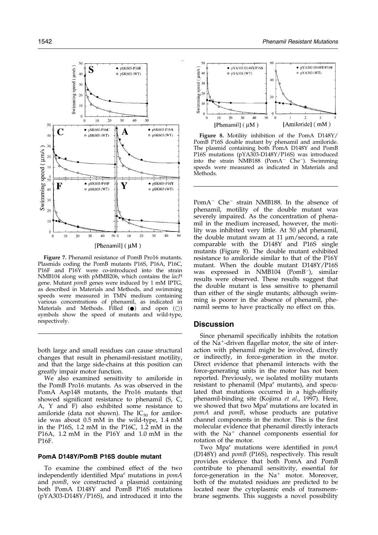<span id="page-5-0"></span>

Figure 7. Phenamil resistance of PomB Pro16 mutants. Plasmids coding the PomB mutants P16S, P16A, P16C, P16F and P16Y were co-introduced into the strain NMB104 along with pMMB206, which contains the lacIq gene. Mutant *pomB* genes were induced by 1 mM IPTG, as described in Materials and Methods, and swimming speeds were measured in TMN medium containing various concentrations of phenamil, as indicated in Materials and Methods. Filled  $(\bullet)$  and open  $(\bigcirc)$ symbols show the speed of mutants and wild-type, respectively.

both large and small residues can cause structural changes that result in phenamil-resistant motility, and that the large side-chains at this position can greatly impair motor function.

We also examined sensitivity to amiloride in the PomB Pro16 mutants. As was observed in the PomA Asp148 mutants, the Pro16 mutants that showed significant resistance to phenamil  $(S, C, C)$ A, Y and F) also exhibited some resistance to amiloride (data not shown). The  $IC_{50}$  for amiloride was about 0.5 mM in the wild-type, 1.4 mM in the P16S, 1.2 mM in the P16C, 1.2 mM in the P16A, 1.2 mM in the P16Y and 1.0 mM in the P16F.

# PomA D148Y/PomB P16S double mutant

To examine the combined effect of the two independently identified Mpa<sup>r</sup> mutations in  $pomA$ and *pomB*, we constructed a plasmid containing both PomA D148Y and PomB P16S mutations (pYA303-D148Y/P16S), and introduced it into the



Figure 8. Motility inhibition of the PomA D148Y/ PomB P16S double mutant by phenamil and amiloride. The plasmid containing both PomA D148Y and PomB P16S mutations (pYA303-D148Y/P16S) was introduced into the strain  $\overline{NMB188}$  (PomA<sup>-</sup> Che<sup>-</sup>). Swimming speeds were measured as indicated in Materials and Methods.

PomA<sup>-</sup> Che<sup>-</sup> strain NMB188. In the absence of phenamil, motility of the double mutant was severely impaired. As the concentration of phenamil in the medium increased, however, the motility was inhibited very little. At  $50 \mu M$  phenamil, the double mutant swam at 11  $\mu$ m/second, a rate comparable with the D148Y and P16S single mutants (Figure 8). The double mutant exhibited resistance to amiloride similar to that of the P16Y mutant. When the double mutant D148Y/P16S was expressed in NMB104 ( $PomB^-$ ), similar results were observed. These results suggest that the double mutant is less sensitive to phenamil than either of the single mutants; although swimming is poorer in the absence of phenamil, phenamil seems to have practically no effect on this.

# **Discussion**

Since phenamil specifically inhibits the rotation of the  $Na^+$ -driven flagellar motor, the site of interaction with phenamil might be involved, directly or indirectly, in force-generation in the motor. Direct evidence that phenamil interacts with the force-generating units in the motor has not been reported. Previously, we isolated motility mutants resistant to phenamil ( $Mpa<sup>r</sup>$  mutants), and speculated that mutations occurred in a high-affinity phenamil-binding site [\(Kojima](#page-9-0) et al., 1997). Here, we showed that two Mpa<sup>r</sup> mutations are located in pomA and pomB, whose products are putative channel components in the motor. This is the first molecular evidence that phenamil directly interacts with the  $Na<sup>+</sup>$  channel components essential for rotation of the motor.

Two Mpa<sup>r</sup> mutations were identified in pomA (D148Y) and pomB (P16S), respectively. This result provides evidence that both PomA and PomB contribute to phenamil sensitivity, essential for force-generation in the  $Na<sup>+</sup>$  motor. Moreover, both of the mutated residues are predicted to be located near the cytoplasmic ends of transmembrane segments. This suggests a novel possibility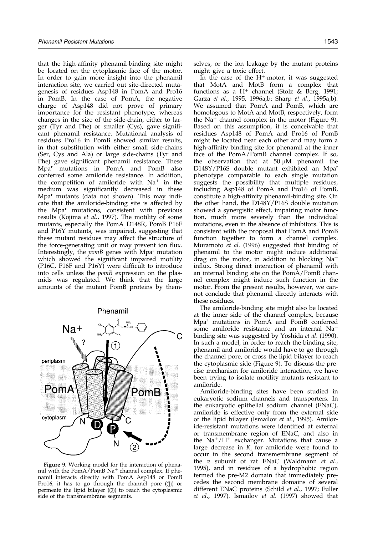that the high-affinity phenamil-binding site might be located on the cytoplasmic face of the motor. In order to gain more insight into the phenamil interaction site, we carried out site-directed mutagenesis of residues Asp148 in PomA and Pro16 in PomB. In the case of PomA, the negative charge of Asp148 did not prove of primary importance for the resistant phenotype, whereas changes in the size of the side-chain, either to larger (Tyr and Phe) or smaller  $(Cys)$ , gave significant phenamil resistance. Mutational analysis of residues Pro16 in PomB showed similar results, in that substitution with either small side-chains (Ser, Cys and Ala) or large side-chains (Tyr and Phe) gave significant phenamil resistance. These Mpa<sup>r</sup> mutations in PomA and PomB also conferred some amiloride resistance. In addition, the competition of amiloride with  $Na<sup>+</sup>$  in the medium was significantly decreased in these Mpa<sup>r</sup> mutants (data not shown). This may indicate that the amiloride-binding site is affected by the Mpa<sup>r</sup> mutations, consistent with previous results [\(Kojima](#page-9-0) et al., 1997). The motility of some mutants, especially the PomA D148R, PomB P16F and P16Y mutants, was impaired, suggesting that these mutant residues may affect the structure of the force-generating unit or may prevent ion flux. Interestingly, the  $pomb$  genes with  $Mpa<sup>r</sup>$  mutation which showed the significant impaired motility (P16C, P16F and P16Y) were difficult to introduce into cells unless the pomB expression on the plasmids was regulated. We think that the large amounts of the mutant PomB proteins by them-



Figure 9. Working model for the interaction of phenamil with the PomA/PomB Na<sup>+</sup> channel complex. If phenamil interacts directly with PomA Asp148 or PomB Pro16, it has to go through the channel pore (1) or permeate the lipid bilayer  $(Q)$ ) to reach the cytoplasmic side of the transmembrane segments.

selves, or the ion leakage by the mutant proteins might give a toxic effect.

In the case of the  $H^+$ -motor, it was suggested that MotA and MotB form a complex that functions as a H<sup>+</sup> channel [\(Stolz &](#page-10-0) Berg, 1991; [Garza](#page-9-0) et al., 199[5, 1996a,b; Shar](#page-9-0)[p](#page-10-0) et al., 1995[a,b\).](#page-10-0) We assumed that PomA and PomB, which are homologous to MotA and MotB, respectively, form the  $Na<sup>+</sup>$  channel complex in the motor (Figure 9). Based on this assumption, it is conceivable that residues Asp148 of PomA and Pro16 of PomB might be located near each other and may form a high-affinity binding site for phenamil at the inner face of the PomA/PomB channel complex. If so, the observation that at  $50 \mu M$  phenamil the D148Y/P16S double mutant exhibited an Mpa<sup>r</sup> phenotype comparable to each single mutation suggests the possibility that multiple residues, including Asp148 of PomA and Pro16 of PomB, constitute a high-affinity phenamil-binding site. On the other hand, the D148Y/P16S double mutation showed a synergistic effect, impairing motor function, much more severely than the individual mutations, even in the absence of inhibitors. This is consistent with the proposal that PomA and PomB function together to form a channel complex. [Muramo](#page-10-0)to et al. (1996) suggested that binding of phenamil to the motor might induce additional drag on the motor, in addition to blocking  $Na<sup>+</sup>$ influx. Strong direct interaction of phenamil with an internal binding site on the PomA/PomB channel complex might induce such function in the motor. From the present results, however, we cannot conclude that phenamil directly interacts with these residues.

The amiloride-binding site might also be located at the inner side of the channel complex, because Mpa<sup>r</sup> mutations in PomA and PomB conferred some amiloride resistance and an internal Na binding site was suggested by [Yoshida](#page-10-0) et al. (1990). In such a model, in order to reach the binding site, phenamil and amiloride would have to go through the channel pore, or cross the lipid bilayer to reach the cytoplasmic side (Figure 9). To discuss the precise mechanism for amiloride interaction, we have been trying to isolate motility mutants resistant to amiloride.

Amiloride-binding sites have been studied in eukaryotic sodium channels and transporters. In the eukaryotic epithelial sodium channel (ENaC), amiloride is effective only from the external side of the lipid bilayer [\(Ismailov](#page-9-0) et al., 1995). Amiloride-resistant mutations were identified at external or transmembrane region of ENaC, and also in the  $Na^+/H^+$  exchanger. Mutations that cause a large decrease in  $K_i$  for amiloride were found to occur in the second transmembrane segment of the  $\alpha$  subunit of rat ENaC [\(Waldma](#page-10-0)nn *et al.*, 1995), and in residues of a hydrophobic region termed the pre-M2 domain that immediately precedes the second membrane domains of several different ENaC proteins [\(Schild](#page-10-0) et al., 1997; [Fuller](#page-9-0) et al., 1997). [Ismailov](#page-9-0) et al. (1997) showed that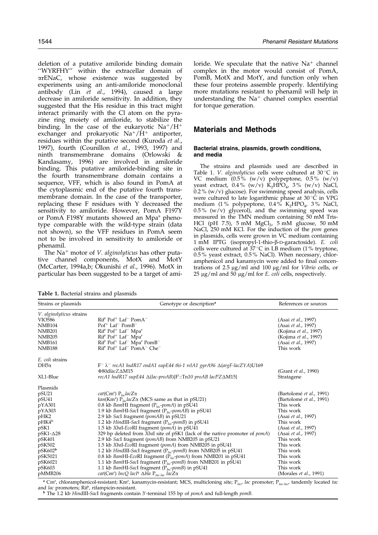deletion of a putative amiloride binding domain "WYRFHY" within the extracellar domain of arENaC, whose existence was suggested by experiments using an anti-amiloride monoclonal antibody [\(Lin](#page-9-0)  $et$  al., 1994), caused a large decrease in amiloride sensitivity. In addition, they suggested that the His residue in this tract might interact primarily with the Cl atom on the pyrazine ring moiety of amiloride, to stabilize the binding. In the case of the eukaryotic  $Na^+/H^+$ exchanger and prokaryotic  $Na^+/H^+$  antiporter, residues within the putative second [\(Kuroda](#page-9-0) et al., 1997), fourth [\(Counillo](#page-9-0)n et al., 199[3, 1997\)](#page-9-0) and ninth transmembrane domains [\(Orlowsk](#page-10-0)i & Kandasamy, 1996) are involved in amiloride binding. This putative amiloride-binding site in the fourth transmembrane domain contains a sequence, VFF, which is also found in PomA at the cytoplasmic end of the putative fourth transmembrane domain. In the case of the transporter, replacing these F residues with Y decreased the sensitivity to amiloride. However, PomA F197Y or PomA F198Y mutants showed an Mpa<sup>s</sup> phenotype comparable with the wild-type strain (data not shown), so the VFF residues in PomA seem not to be involved in sensitivity to amiloride or phenamil.

The Na<sup>+</sup> motor of *V. alginolyticus* has other putative channel components, MotX and MotY [\(McCarte](#page-10-0)r, 1994[a,b; Okunish](#page-10-0)i et al., 1996). MotX in particular has been suggested to be a target of amiloride. We speculate that the native  $Na<sup>+</sup>$  channel complex in the motor would consist of PomA, PomB, MotX and MotY, and function only when these four proteins assemble properly. Identifying more mutations resistant to phenamil will help in understanding the  $Na<sup>+</sup>$  channel complex essential for torque generation.

# Materials and Methods

# Bacterial strains, plasmids, growth conditions, and media

The strains and plasmids used are described in Table 1. V. alginolyticus cells were cultured at  $30^{\circ}$ C in VC medium  $(0.5\%$  (w/v) polypeptone,  $0.5\%$  (w/v) yeast extract,  $0.4\%$  (w/v)  $\vec{K}_2 H \vec{P} \vec{O}_4$ ,  $3\%$  (w/v) NaCl,  $0.2\%$  (w/v) glucose). For swimming speed analysis, cells were cultured to late logarithmic phase at  $30^{\circ}$ C in VPG medium (1 % polypeptone, 0.4 %  $K_2{\rm HPO_4}$ , 3 % NaCl, 0.5 % (w/v) glycerol), and the swimming speed was measured in the TMN medium containing 50 mM Tris-HCl (pH 7.5),  $5 \text{ mM } MgCl<sub>2</sub>$ ,  $5 \text{ mM } glucose$ ,  $50 \text{ mM}$ NaCl, 250 mM KCl. For the induction of the pom genes in plasmids, cells were grown in VC medium containing 1 mM IPTG (isopropyl-1-thio-β-D-garactoside). E. coli cells were cultured at  $37^{\circ}$ C in LB medium (1% tryptone, 0.5 % yeast extract, 0.5 % NaCl). When necessary, chloramphenicol and kanamycin were added to final concentrations of 2.5  $\mu$ g/ml and 100  $\mu$ g/ml for *Vibrio* cells, or 25  $\mu$ g/ml and 50  $\mu$ g/ml for *E. coli* cells, respectively.

Table 1. Bacterial strains and plasmids

| Strains or plasmids      | Genotype or description <sup>a</sup>                                                                 | References or sources          |
|--------------------------|------------------------------------------------------------------------------------------------------|--------------------------------|
| V. alginolyticus strains |                                                                                                      |                                |
| <b>VIO586</b>            | Rif' Pof' Laf' PomA'                                                                                 | (Asai et al., 1997)            |
| <b>NMB104</b>            | $Pof^+$ Laf <sup>-</sup> $PomB^-$                                                                    | (Asai et al., 1997)            |
| <b>NMB201</b>            | Rif <sup>r</sup> Pof <sup>+</sup> Laf <sup>-</sup> Mpa <sup>r</sup>                                  | (Kojima et al., 1997)          |
| <b>NMB205</b>            | Rif <sup>r</sup> Pof <sup>+</sup> Laf <sup>-</sup> Mpa <sup>r</sup>                                  | (Kojima et al., 1997)          |
| <b>NMB161</b>            | Rif <sup>r</sup> Pof <sup>+</sup> Laf <sup>-</sup> Mpa <sup>r</sup> PomB <sup>-</sup>                | (Asai et al., 1997)            |
| <b>NMB188</b>            | Rif <sup>r</sup> Pof <sup>+</sup> Laf <sup>-</sup> PomA <sup>-</sup> Che <sup>-</sup>                | This work                      |
| E. coli strains          |                                                                                                      |                                |
| $DH5\alpha$              | $F^- \lambda^-$ recA1 hsdR17 endA1 supE44 thi-1 relA1 gyrA96 $\Delta(\text{arg}F\text{-}lacZYA)U169$ |                                |
|                          | Φ80dlacZΔM15                                                                                         | (Grant <i>et al.</i> , 1990)   |
| XL1-Blue                 | recA1 hsdR17 supE44 $\Delta$ (lac-proAB){F'::Tn10 proAB lacI <sup>q</sup> Z $\Delta$ M15}            | Stratagene                     |
| Plasmids                 |                                                                                                      |                                |
| pSU21                    | cat(Cm <sup>r</sup> ) $P_{loc}$ lacZ $\alpha$                                                        | (Bartolomé et al., 1991)       |
| pSU41                    | $kan(Km^r)$ P <sub>lac</sub> lacZ $\alpha$ (MCS same as that in pSU21)                               | (Bartolomé et al., 1991)       |
| pYA301                   | 0.8 kb BamHI fragment ( $P_{lac}$ -pomA) in pSU41                                                    | This work                      |
| pYA303                   | 1.9 kb BamHI-SacI fragment (P <sub>lac</sub> -pomAB) in pSU41                                        | This work                      |
| pHK2                     | 2.9 kb SacI fragment (pomAB) in pSU21                                                                | (Asai et al., 1997)            |
| pHK4 <sup>b</sup>        | 1.2 kb HindIII-SacI fragment ( $P_{lac}$ -pomB) in pSU41                                             | This work                      |
| pSK1                     | 1.5 kb XbaI-EcoRI fragment (pomA) in pSU41                                                           | (Asai et al., 1997)            |
| $p$ SK1- $\Delta$ 28     | 329 bp deleted from XbaI site of pSK1 (lack of the native promoter of pomA)                          | (Asai et al., 1997)            |
| pSK401                   | 2.9 kb SacI fragment (pomAB) from NMB205 in pSU21                                                    | This work                      |
| pSK502                   | 1.5 kb XbaI-EcoRI fragment (pomA) from NMB205 in pSU41                                               | This work                      |
| pSK602 <sup>b</sup>      | 1.2 kb HindIII-SacI fragment ( $P_{lac}$ -pomB) from NMB205 in pSU41                                 | This work                      |
| pSK5021                  | 0.8 kb BamHI-EcoRI fragment (P <sub>lac</sub> -pomA) from NMB201 in pSU41                            | This work                      |
| pSK6021                  | 1.1 kb <i>BamHI-SacI</i> fragment ( $P_{lac}$ -pomB) from NMB201 in pSU41                            | This work                      |
| pSK603                   | 1.1 kb <i>BamHI-SacI</i> fragment ( $P_{lac}$ -pomB) in pSU41                                        | This work                      |
| pMMB206                  | cat(Cm <sup>r</sup> ) IncQ lacI <sup>q</sup> ∆bla P <sub>tac-lac</sub> lacZα                         | (Morales <i>et al.</i> , 1991) |

<sup>a</sup> Cm<sup>r</sup>, chloramphenicol-resistant; Km<sup>r</sup>, kanamycin-resistant; MCS, multicloning site;  $P_{lac}$  *lac* promoter;  $P_{lac-lac}$  tandemly located tac and lac promoters; Rif<sup>r</sup>, rifampicin-resistant. d *lac* promoters; Rif<sup>r</sup>, rifampicin-resistant.<br><sup>b</sup> The 1.2 kb *HindIII-SacI fragments contain 3'-terminal 155 bp of pomA and full-length pomB.*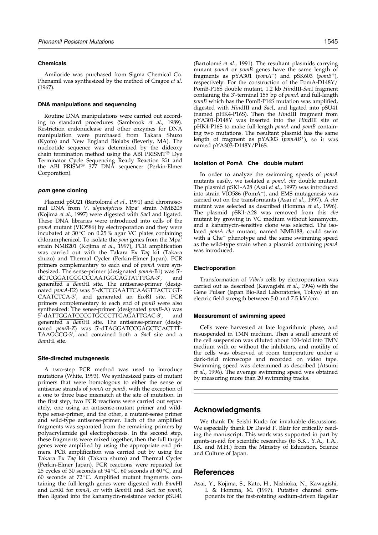#### <span id="page-8-0"></span>**Chemicals**

Amiloride was purchased from Sigma Chemical Co. Phenamil was synthesized by the method o[f Cragoe](#page-9-0) et al. (1967).

#### DNA manipulations and sequencing

Routine DNA manipulations were carried out according to standard procedures [\(Sambrook](#page-10-0) et al., 1989). Restriction endonuclease and other enzymes for DNA manipulation were purchased from Takara Shuzo (Kyoto) and New England Biolabs (Beverly, MA). The nucleotide sequence was determined by the dideoxy chain termination method using the ABI PRISMT<sup>®</sup> Dye Terminator Cycle Sequencing Ready Reaction Kit and the ABI PRISM<sup>®</sup> 377 DNA sequencer (Perkin-Elmer Corporation).

#### pom gene cloning

Plasmid pSU21 (Bartolomé et al., 1991) and chromosomal DNA from V. alginolyticus Mpa<sup>r</sup> strain NMB205 [\(Kojima](#page-9-0) et al., 1997) were digested with SacI and ligated. These DNA libraries were introduced into cells of the pomA mutant (VIO586) by electroporation and they were incubated at  $30^{\circ}$ C on 0.25% agar VC plates containing chloramphenicol. To isolate the *pom* genes from the Mpa<sup>r</sup> strain NMB201 [\(Kojima](#page-9-0) et al., 1997), PCR amplification was carried out with the Takara Ex Taq kit (Takara shuzo) and Thermal Cycler (Perkin-Elmer Japan). PCR primers complementary to each end of *pomA* were synthesized. The sense-primer (designated *pomA-*B1) was 5'dCTCGGATCCGCCCAATGGCAGTATTTGA-3', , and generated a BamHI site. The antisense-primer (designated pomA-E2) was 5'-dCTCGAATTCAAGTTACTCGT-CAATCTCA-3', and generated an EcoRI site. PCR primers complementary to each end of *pomB* were also synthesized: The sense-primer (designated pomB-A) was 5′-dATT<u>GGATCC</u>CGTGCCCTTGAGATTGAC-3′ , and generated a BamHI site. The antisense-primer (designated *pomB-Z*) was 5'-dTAGGATCCGAGCTCACTTT-TAAGGCG-3', and contained both a SacI site and a BamHI site.

#### Site-directed mutagenesis

A two-step PCR method was used to introduce mutations [\(White, 19](#page-10-0)93). We synthesized pairs of mutant primers that were homologous to either the sense or antisense strands of pomA or pomB, with the exception of a one to three base mismatch at the site of mutation. In the first step, two PCR reactions were carried out separately, one using an antisense-mutant primer and wildtype sense-primer, and the other, a mutant-sense primer and wild-type antisense-primer. Each of the amplified fragments was separated from the remaining primers by polyacrylamide gel electrophoresis. In the second step, these fragments were mixed together, then the full target genes were amplified by using the appropriate end primers. PCR amplification was carried out by using the Takara Ex Taq kit (Takara shuzo) and Thermal Cycler (Perkin-Elmer Japan). PCR reactions were repeated for 25 cycles of 30 seconds at 94 °C, 60 seconds at 60 °C, and 60 seconds at  $72^{\circ}$ C. Amplified mutant fragments containing the full-length genes were digested with BamHI and EcoRI for pomA, or with BamHI and SacI for pomB, then ligated into the kanamycin-resistance vector pSU41

(Bartolomé et al., 1991). The resultant plasmids carrying mutant pomA or pomB genes have the same length of fragments as  $pYA301$  (pomA<sup>+</sup>) and  $pSK603$  (pomB<sup>+</sup>), respectively. For the construction of the PomA-D148Y/ PomB-P16S double mutant, 1.2 kb HindIII-SacI fragment containing the 3'-terminal 155 bp of *pomA* and full-length pomB which has the PomB-P16S mutation was amplified, digested with HindIII and SacI, and ligated into pSU41 (named pHK4-P16S). Then the HindIII fragment from pYA301-D148Y was inserted into the HindIII site of pHK4-P16S to make full-length pomA and pomB containing two mutations. The resultant plasmid has the same length of fragment as  $pYA303$  (pom $AB^+$ ), so it was named pYA303-D148Y/P16S.

#### Isolation of PomA<sup>-</sup> Che<sup>-</sup> double mutant

In order to analyze the swimming speeds of pomA mutants easily, we isolated a *pomA che* double mutant. The plasmid pSK1- $\Delta$ 28 (Asai et al., 1997) was introduced into strain VIO586 (PomA<sup>-</sup>), and EMS mutagenesis was carried out on the transformants (Asai et al., 1997). A che mutant was selected as described [\(Homma](#page-9-0) et al., 1996). The plasmid  $pSK1-\Delta28$  was removed from this che mutant by growing in VC medium without kanamycin, and a kanamycin-sensitive clone was selected. The isolated pomA che mutant, named NMB188, could swim with a Che<sup>-</sup> phenotype and the same swimming speed as the wild-type strain when a plasmid containing pomA was introduced.

#### Electroporation

Transformation of Vibrio cells by electroporation was carried out as described [\(Kawagish](#page-9-0)i et al., 1994) with the Gene Pulser (Japan Bio-Rad Laboratories, Tokyo) at an electric field strength between 5.0 and  $7.5 \text{ kV/cm}$ .

#### Measurement of swimming speed

Cells were harvested at late logarithmic phase, and resuspended in TMN medium. Then a small amount of the cell suspension was diluted about 100-fold into TMN medium with or without the inhibitors, and motility of the cells was observed at room temperature under a dark-field microscope and recorded on video tape. Swimming speed was determined as described [\(Atsumi](#page-9-0) et al., 1996). The average swimming speed was obtained by measuring more than 20 swimming tracks.

# Acknowledgments

We thank Dr Seishi Kudo for invaluable discussions. We especially thank Dr David F. Blair for critically reading the manuscript. This work was supported in part by grants-in-aid for scientific researches (to S.K., Y.A., T.A., I.K. and M.H.) from the Ministry of Education, Science and Culture of Japan.

# References

Asai, Y., Kojima, S., Kato, H., Nishioka, N., Kawagishi, I. & Homma, M. (1997). Putative channel components for the fast-rotating sodium-driven flagellar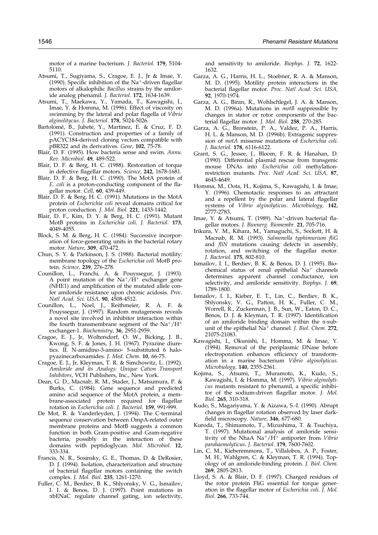<span id="page-9-0"></span>motor of a marine bacterium. J. Bacteriol. 179, 5104- 5110.

- Atsumi, T., Sugiyama, S., Cragoe, E. J., Jr & Imae, Y. (1990). Specific inhibition of the Na<sup>+</sup>-driven flagellar motors of alkalophilic Bacillus strains by the amiloride analog phenamil. J. Bacteriol. 172, 1634-1639.
- Atsumi, T., Maekawa, Y., Yamada, T., Kawagishi, I., Imae, Y. & Homma, M. (1996). Effect of viscosity on swimming by the lateral and polar flagella of Vibrio alginolitycus. J. Bacteriol. 178, 5024-5026.
- Bartolomé, B., Jubete, Y., Martinez, E. & Cruz, F. D. (1991). Construction and properties of a family of pACYC184-derived cloning vectors compatible with pBR322 and its derivatives. Gene, 102, 75-78.
- Blair, D. F. (1995). How bacteria sense and swim. Annu. Rev. Microbiol. 49, 489-522.
- Blair, D. F. & Berg, H. C. (1988). Restoration of torque in defective flagellar motors. Science, 242, 1678-1681.
- Blair, D. F. & Berg, H. C. (1990). The MotA protein of E. coli is a proton-conducting component of the flagellar motor. Cell, 60, 439-449.
- Blair, D. F. & Berg, H. C. (1991). Mutations in the MotA protein of Escherichia coli reveal domains critical for proton conduction. J. Mol. Biol. 221, 1433-1442.
- Blair, D. F., Kim, D. Y. & Berg, H. C. (1991). Mutant MotB proteins in Escherichia coli. J. Bacteriol. 173, 4049-4055.
- Block, S. M. & Berg, H. C. (1984). Successive incorporation of force-generating units in the bacterial rotary motor. Nature, 309, 470-472.
- Chun, S. Y. & Parkinson, J. S. (1988). Bacterial motility: membrane topology of the Escherichia coli MotB protein. Science, 239, 276-278.
- Counillon, L., Franchi, A. & Pouyssegur, J. (1993). A point mutation of the  $Na^+/H^+$  exchanger gene (NHE1) and amplification of the mutated allele confer amiloride resistance upon chronic acidosis. Proc. Natl Acad. Sci. USA, 90, 4508-4512.
- Counillon, L., Noel, J., Reithmeier, R. A. F. & Pouyssegur, J. (1997). Random mutagenesis reveals a novel site involved in inhibitor interaction within the fourth transmembrane segment of the  $Na^+/H^+$ exchanger-1. Biochemistry, 36, 2951-2959.
- Cragoe, E. J., Jr, Woltersdorf, O. W., Bicking, J. B., Kwong, S. F. & Jones, J. H. (1967). Pyrazine diuretics. II. N-amidino-3-amino- 5-substituted 6 halopyazinecarboxamides. J. Med. Chem. 10, 66-75.
- Cragoe, E. J., Jr, Kleyman, T. R. & Simchowitz, L. (1992). Amiloride and its Analogs: Unique Cation Transport Inhibitors, VCH Publishers, Inc., New York.
- Dean, G. D., Macnab, R. M., Stader, J., Matsumura, P. & Burks, C. (1984). Gene sequence and predicted amino acid sequence of the MotA protein, a membrane-associated protein required for flagellar rotation in Escherichia coli. J. Bacteriol. 159, 991-999.
- De Mot, R. & Vanderleyden, J. (1994). The C-terminal sequence conservation between OmpA-related outer membrane proteins and MotB suggests a common function in both Gram-positive and Gram-negative bacteria, possibly in the interaction of these domains with peptidoglycan. Mol. Microbiol. 12, 333-334.
- Francis, N. R., Sosinsky, G. E., Thomas, D. & DeRosier, D. J. (1994). Isolation, characterization and structure of bacterial flagellar motors containing the switch complex. J. Mol. Biol. 235, 1261-1270.
- Fuller, C. M., Berdiev, B. K., Shlyonsky, V. G., Ismailov, I. I. & Benos, D. J. (1997). Point mutations in abENaC regulate channel gating, ion selectivity,

and sensitivity to amiloride. Biophys. J. 72, 1622- 1632.

- Garza, A. G., Harris, H. L., Stoebner, R. A. & Manson, M. D. (1995). Motility protein interactions in the bacterial flagellar motor. Proc. Natl Acad. Sci. USA, 92, 1970-1974.
- Garza, A. G., Biran, R., Wohlschlegel, J. A. & Manson, M. D. (1996a). Mutations in motB suppressible by changes in stator or rotor components of the bacterial flagellar motor. J. Mol. Biol. 258, 270-285.
- Garza, A. G., Bronstein, P. A., Valdez, P. A., Harris, H. L. & Manson, M. D. (1996b). Extragenic suppression of motA missense mutations of Escherichia coli. J. Bacteriol. 178, 6116-6122.
- Grant, S. G., Jessee, J., Bloom, F. R. & Hanahan, D. (1990). Differential plasmid rescue from transgenic mouse DNAs into Escherichia coli methylationrestriction mutants. Proc. Natl Acad. Sci. USA, 87, 4645-4649.
- Homma, M., Oota, H., Kojima, S., Kawagishi, I. & Imae, Y. (1996). Chemotactic responses to an attractant and a repellent by the polar and lateral flagellar systems of Vibrio alginolyticus. Microbiology, 142, 2777-2783.
- Imae, Y. & Atsumi, T. (1989). Na<sup>+</sup>-driven bacterial flagellar motors. J. Bioenerg. Biomembr. 21, 705-716.
- Irikura, V. M., Kihara, M., Yamaguchi, S., Sockett, H. & Macnab, R. M. (1993). Salmonella typhimurium fliG and  $fliN$  mutations causing defects in assembly, rotation, and switching of the flagellar motor. J. Bacteriol. 175, 802-810.
- Ismailov, I. I., Berdiev, B. K. & Benos, D. J. (1995). Biochemical status of renal epithelial  $Na<sup>+</sup>$  channels determines apparent channel conductance, ion selectivity, and amiloride sensitivity. Biophys. J. 69, 1789-1800.
- Ismailov, I. I., Kieber, E. T., Lin, C., Berdiev, B. K., Shlyonsky, V. G., Patton, H. K., Fuller, C. M., Worrell, R., Zuckerman, J. B., Sun, W., Eaton, D. C., Benos, D. J. & Kleyman, T. R. (1997). Identification of an amiloride binding domain within the  $\alpha$ -subunit of the epithelial  $Na<sup>+</sup>$  channel. *J. Biol. Chem.* 272, 21075-21083.
- Kawagishi, I., Okunishi, I., Homma, M. & Imae, Y. (1994). Removal of the periplasmic DNase before electroporation enhances efficiency of transformation in a marine bacterium Vibrio alginolyticus. Microbiology, 140, 2355-2361.
- Kojima, S., Atsumi, T., Muramoto, K., Kudo, S., Kawagishi, I. & Homma, M. (1997). Vibrio alginolyticus mutants resistant to phenamil, a specific inhibitor of the sodium-driven flagellar motor. J. Mol. Biol. 265, 310-318.
- Kudo, S., Magariyama, Y. & Aizawa, S.-I. (1990). Abrupt changes in flagellar rotation observed by laser darkfield microscopy. Nature, 346, 677-680.
- Kuroda, T., Shimamoto, T., Mizushima, T. & Tsuchiya, T. (1997). Mutational analysis of amiloride sensitivity of the NhaA  $Na^+/H^+$  antiporter from *Vibrio* parahaemolyticus. J. Bacteriol. 179, 7600-7602.
- Lin, C. M., Kieberemmons, T., Villalobos, A. P., Foster, M. H., Wahlgren, C. & Kleyman, T. R. (1994). Topology of an amiloride-binding protein. J. Biol. Chem. 269, 2805-2813.
- Lloyd, S. A. & Blair, D. F. (1997). Charged residues of the rotor protein FliG essential for torque generation in the flagellar motor of Escherichia coli. J. Mol. Biol. 266, 733-744.